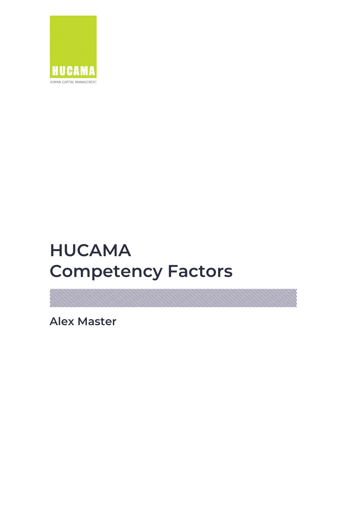

# **HUCAMA Competency Factors**

WIII. a sa mga magaalada ay isang mga magaalada ay isang mga magaalada ay isang mga magaalada ay isang mga magaalada

**Alex Master**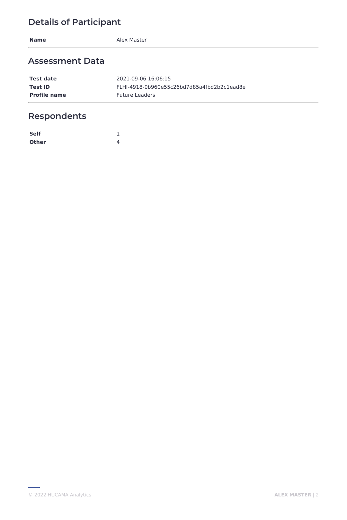**Name** Alex Master

### **Assessment Data**

| <b>Test date</b>    | 2021-09-06 16:06:15                        |
|---------------------|--------------------------------------------|
| Test ID             | FLHI-4918-0b960e55c26bd7d85a4fbd2b2c1ead8e |
| <b>Profile name</b> | <b>Future Leaders</b>                      |

# **Respondents**

| <b>Self</b>  |   |
|--------------|---|
| <b>Other</b> | ⊿ |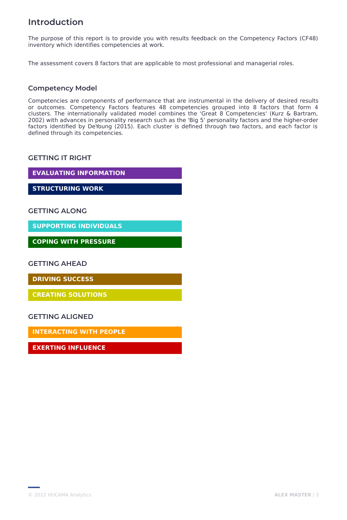### **Introduction**

The purpose of this report is to provide you with results feedback on the Competency Factors (CF48) inventory which identifies competencies at work.

The assessment covers 8 factors that are applicable to most professional and managerial roles.

#### **Competency Model**

Competencies are components of performance that are instrumental in the delivery of desired results or outcomes. Competency Factors features 48 competencies grouped into 8 factors that form 4 clusters. The internationally validated model combines the 'Great 8 Competencies' (Kurz & Bartram, 2002) with advances in personality research such as the 'Big 5' personality factors and the higher-order factors identified by DeYoung (2015). Each cluster is defined through two factors, and each factor is defined through its competencies.

#### **GETTING IT RIGHT**

**EVALUATING INFORMATION**

**STRUCTURING WORK**

#### **GETTING ALONG**

**SUPPORTING INDIVIDUALS**

**COPING WITH PRESSURE**

**GETTING AHEAD**

**DRIVING SUCCESS**

**CREATING SOLUTIONS**

**GETTING ALIGNED**

**INTERACTING WITH PEOPLE**

**EXERTING INFLUENCE**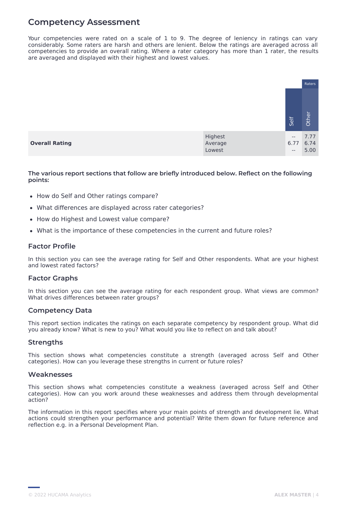### **Competency Assessment**

Your competencies were rated on a scale of 1 to 9. The degree of leniency in ratings can vary considerably. Some raters are harsh and others are lenient. Below the ratings are averaged across all competencies to provide an overall rating. Where a rater category has more than 1 rater, the results are averaged and displayed with their highest and lowest values.

|                       |                              |                         | Raters               |
|-----------------------|------------------------------|-------------------------|----------------------|
|                       |                              | Self                    | Other                |
| <b>Overall Rating</b> | Highest<br>Average<br>Lowest | $-\,-$<br>6.77<br>$- -$ | 7.77<br>6.74<br>5.00 |

**The various report sections that follow are briefly introduced below. Reflect on the following points:**

- How do Self and Other ratings compare?
- What differences are displayed across rater categories?
- How do Highest and Lowest value compare?
- What is the importance of these competencies in the current and future roles?

#### **Factor Profile**

In this section you can see the average rating for Self and Other respondents. What are your highest and lowest rated factors?

#### **Factor Graphs**

In this section you can see the average rating for each respondent group. What views are common? What drives differences between rater groups?

#### **Competency Data**

This report section indicates the ratings on each separate competency by respondent group. What did you already know? What is new to you? What would you like to reflect on and talk about?

#### **Strengths**

This section shows what competencies constitute a strength (averaged across Self and Other categories). How can you leverage these strengths in current or future roles?

#### **Weaknesses**

This section shows what competencies constitute a weakness (averaged across Self and Other categories). How can you work around these weaknesses and address them through developmental action?

The information in this report specifies where your main points of strength and development lie. What actions could strengthen your performance and potential? Write them down for future reference and reflection e.g. in a Personal Development Plan.

<sup>©</sup> 2022 HUCAMA Analytics **ALEX MASTER** | 4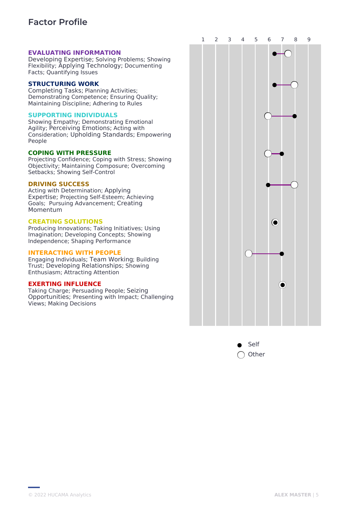### **Factor Profile**

#### **EVALUATING INFORMATION**

Developing Expertise; Solving Problems; Showing Flexibility; Applying Technology; Documenting Facts; Quantifying Issues

#### **STRUCTURING WORK**

Completing Tasks; Planning Activities; Demonstrating Competence; Ensuring Quality; Maintaining Discipline; Adhering to Rules

#### **SUPPORTING INDIVIDUALS**

Showing Empathy; Demonstrating Emotional Agility; Perceiving Emotions; Acting with Consideration; Upholding Standards; Empowering People

#### **COPING WITH PRESSURE**

Projecting Confidence; Coping with Stress; Showing Objectivity; Maintaining Composure; Overcoming Setbacks; Showing Self-Control

#### **DRIVING SUCCESS**

Acting with Determination; Applying Expertise; Projecting Self-Esteem; Achieving Goals; Pursuing Advancement; Creating Momentum

#### **CREATING SOLUTIONS**

Producing Innovations; Taking Initiatives; Using Imagination; Developing Concepts; Showing Independence; Shaping Performance

#### **INTERACTING WITH PEOPLE**

Engaging Individuals; Team Working; Building Trust; Developing Relationships; Showing Enthusiasm; Attracting Attention

#### **EXERTING INFLUENCE**

Taking Charge; Persuading People; Seizing Opportunities; Presenting with Impact; Challenging Views; Making Decisions



Self **Other**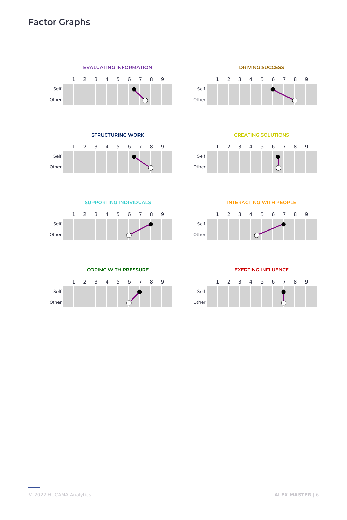## **Factor Graphs**







**CREATING SOLUTIONS**



**SUPPORTING INDIVIDUALS**



**INTERACTING WITH PEOPLE**





**EXERTING INFLUENCE**

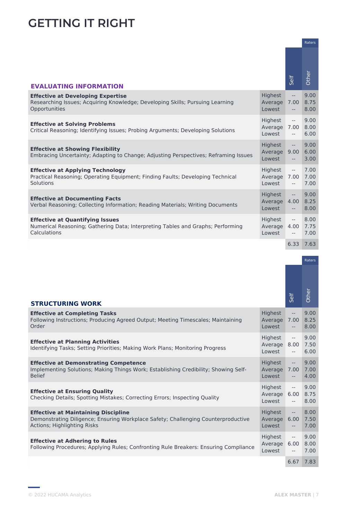# **GETTING IT RIGHT**

|                                                                                                                                            |                                          |                                                                                 | Raters               |
|--------------------------------------------------------------------------------------------------------------------------------------------|------------------------------------------|---------------------------------------------------------------------------------|----------------------|
| <b>EVALUATING INFORMATION</b>                                                                                                              |                                          | Self                                                                            | Other                |
| <b>Effective at Developing Expertise</b><br>Researching Issues; Acquiring Knowledge; Developing Skills; Pursuing Learning<br>Opportunities | Highest<br>Average<br>Lowest             | $-$<br>7.00<br>$\sim$                                                           | 9.00<br>8.75<br>8.00 |
| <b>Effective at Solving Problems</b><br>Critical Reasoning; Identifying Issues; Probing Arguments; Developing Solutions                    | Highest<br>Average 7.00<br>Lowest        | $\overline{\phantom{a}}$<br>$- -$                                               | 9.00<br>8.00<br>6.00 |
| <b>Effective at Showing Flexibility</b><br>Embracing Uncertainty; Adapting to Change; Adjusting Perspectives; Reframing Issues             | Highest<br>Average<br>Lowest             | $\overline{\phantom{m}}$<br>9.00<br>$\sim$                                      | 9.00<br>6.00<br>3.00 |
| <b>Effective at Applying Technology</b><br>Practical Reasoning; Operating Equipment; Finding Faults; Developing Technical<br>Solutions     | Highest<br>Average 7.00<br>Lowest        | $\overline{\phantom{a}}$<br>$\overline{\phantom{a}}$                            | 7.00<br>7.00<br>7.00 |
| <b>Effective at Documenting Facts</b><br>Verbal Reasoning; Collecting Information; Reading Materials; Writing Documents                    | <b>Highest</b><br>Average 4.00<br>Lowest | $-\,-$<br>$- -$                                                                 | 9.00<br>8.25<br>8.00 |
| <b>Effective at Quantifying Issues</b><br>Numerical Reasoning; Gathering Data; Interpreting Tables and Graphs; Performing<br>Calculations  | Highest<br>Average 4.00<br>Lowest        | $\overline{\phantom{a}}$<br>$\hspace{0.05cm} -\hspace{0.05cm} -\hspace{0.05cm}$ | 8.00<br>7.75<br>7.00 |
|                                                                                                                                            |                                          | 6.33                                                                            | 7.63                 |

|                                                                                                                                                                |                                   |                                                                                                            | <b>Raters</b>        |
|----------------------------------------------------------------------------------------------------------------------------------------------------------------|-----------------------------------|------------------------------------------------------------------------------------------------------------|----------------------|
| <b>STRUCTURING WORK</b>                                                                                                                                        |                                   | Self                                                                                                       | Other                |
| <b>Effective at Completing Tasks</b><br>Following Instructions; Producing Agreed Output; Meeting Timescales; Maintaining<br>Order                              | Highest<br>Average 7.00<br>Lowest | $\hspace{0.05cm} -\hspace{0.05cm} -\hspace{0.05cm}$<br>$\overline{\phantom{a}}$                            | 9.00<br>8.25<br>8.00 |
| <b>Effective at Planning Activities</b><br>Identifying Tasks; Setting Priorities; Making Work Plans; Monitoring Progress                                       | Highest<br>Average 8.00<br>Lowest | $\hspace{0.05cm} -\hspace{0.05cm} -\hspace{0.05cm}$<br>$--$                                                | 9.00<br>7.50<br>6.00 |
| <b>Effective at Demonstrating Competence</b><br>Implementing Solutions; Making Things Work; Establishing Credibility; Showing Self-<br><b>Belief</b>           | Highest<br>Average 7.00<br>Lowest | $\overline{\phantom{m}}$<br>$\overline{\phantom{m}}$                                                       | 9.00<br>7.00<br>4.00 |
| <b>Effective at Ensuring Quality</b><br>Checking Details; Spotting Mistakes; Correcting Errors; Inspecting Quality                                             | Highest<br>Average 6.00<br>Lowest | $\hspace{0.05cm} -\hspace{0.05cm} -\hspace{0.05cm}$<br>$\hspace{0.05cm} -\hspace{0.05cm} -\hspace{0.05cm}$ | 9.00<br>8.75<br>8.00 |
| <b>Effective at Maintaining Discipline</b><br>Demonstrating Diligence; Ensuring Workplace Safety; Challenging Counterproductive<br>Actions; Highlighting Risks | Highest<br>Average 6.00<br>Lowest | $\overline{\phantom{m}}$<br>$-\,-$                                                                         | 8.00<br>7.50<br>7.00 |
| <b>Effective at Adhering to Rules</b><br>Following Procedures; Applying Rules; Confronting Rule Breakers: Ensuring Compliance                                  | Highest<br>Average 6.00<br>Lowest | $\hspace{0.05cm} -\hspace{0.05cm} -\hspace{0.05cm}$<br>$-\,-$                                              | 9.00<br>8.00<br>7.00 |
|                                                                                                                                                                |                                   | 6.67                                                                                                       | 7.83                 |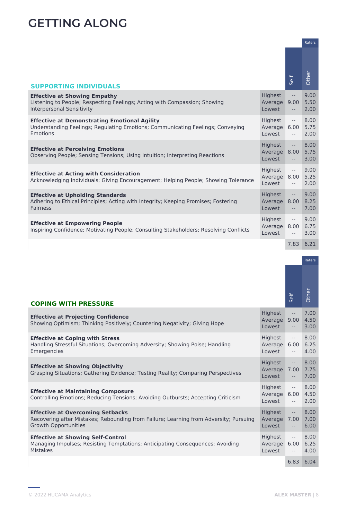# **GETTING ALONG**

|                                                                                                                                                      |                                   |                                                                                                                                                                                                                                                                                                                                                                                                                                                                                                        | Raters               |
|------------------------------------------------------------------------------------------------------------------------------------------------------|-----------------------------------|--------------------------------------------------------------------------------------------------------------------------------------------------------------------------------------------------------------------------------------------------------------------------------------------------------------------------------------------------------------------------------------------------------------------------------------------------------------------------------------------------------|----------------------|
| <b>SUPPORTING INDIVIDUALS</b>                                                                                                                        |                                   | Self                                                                                                                                                                                                                                                                                                                                                                                                                                                                                                   | Other                |
|                                                                                                                                                      |                                   |                                                                                                                                                                                                                                                                                                                                                                                                                                                                                                        |                      |
| <b>Effective at Showing Empathy</b><br>Listening to People; Respecting Feelings; Acting with Compassion; Showing<br><b>Interpersonal Sensitivity</b> | Highest<br>Average 9.00<br>Lowest | $\overline{\phantom{m}}$<br>$- \,$                                                                                                                                                                                                                                                                                                                                                                                                                                                                     | 9.00<br>5.50<br>2.00 |
| <b>Effective at Demonstrating Emotional Agility</b><br>Understanding Feelings; Regulating Emotions; Communicating Feelings; Conveying<br>Emotions    | Highest<br>Average 6.00<br>Lowest | $\overline{\phantom{a}}$<br>$  \,$                                                                                                                                                                                                                                                                                                                                                                                                                                                                     | 8.00<br>5.75<br>2.00 |
| <b>Effective at Perceiving Emotions</b><br>Observing People; Sensing Tensions; Using Intuition; Interpreting Reactions                               | Highest<br>Average 8.00<br>Lowest | $\mathbb{H}^{\mathbb{H}}$<br>$- \,$                                                                                                                                                                                                                                                                                                                                                                                                                                                                    | 8.00<br>5.75<br>3.00 |
| <b>Effective at Acting with Consideration</b><br>Acknowledging Individuals; Giving Encouragement; Helping People; Showing Tolerance                  | Highest<br>Average 8.00<br>Lowest | $\overline{\phantom{a}}$<br>$\frac{1}{2} \left( \frac{1}{2} \right) \left( \frac{1}{2} \right) \left( \frac{1}{2} \right) \left( \frac{1}{2} \right) \left( \frac{1}{2} \right) \left( \frac{1}{2} \right) \left( \frac{1}{2} \right) \left( \frac{1}{2} \right) \left( \frac{1}{2} \right) \left( \frac{1}{2} \right) \left( \frac{1}{2} \right) \left( \frac{1}{2} \right) \left( \frac{1}{2} \right) \left( \frac{1}{2} \right) \left( \frac{1}{2} \right) \left( \frac{1}{2} \right) \left( \frac$ | 9.00<br>5.25<br>2.00 |
| <b>Effective at Upholding Standards</b><br>Adhering to Ethical Principles; Acting with Integrity; Keeping Promises; Fostering<br><b>Fairness</b>     | Highest<br>Average 8.00<br>Lowest | $\overline{\phantom{a}}$<br>$\qquad \qquad -$                                                                                                                                                                                                                                                                                                                                                                                                                                                          | 9.00<br>8.25<br>7.00 |
| <b>Effective at Empowering People</b><br>Inspiring Confidence; Motivating People; Consulting Stakeholders; Resolving Conflicts                       | Highest<br>Average 8.00<br>Lowest | $\mathbb{L}^{\mathbb{L}}$<br>$- -$                                                                                                                                                                                                                                                                                                                                                                                                                                                                     | 9.00<br>6.75<br>3.00 |
|                                                                                                                                                      |                                   | 7.83                                                                                                                                                                                                                                                                                                                                                                                                                                                                                                   | 6.21                 |

|                                                                                                                                                                 |                                               |                                                                                 | <b>Raters</b>        |
|-----------------------------------------------------------------------------------------------------------------------------------------------------------------|-----------------------------------------------|---------------------------------------------------------------------------------|----------------------|
| <b>COPING WITH PRESSURE</b>                                                                                                                                     |                                               | Self                                                                            | Other                |
| <b>Effective at Projecting Confidence</b><br>Showing Optimism; Thinking Positively; Countering Negativity; Giving Hope                                          | Highest<br>Average 9.00 4.50<br>Lowest        | $\overline{\phantom{m}}$<br>$\hspace{0.05cm} -\hspace{0.05cm} -\hspace{0.05cm}$ | 7.00<br>3.00         |
| <b>Effective at Coping with Stress</b><br>Handling Stressful Situations; Overcoming Adversity; Showing Poise; Handling<br>Emergencies                           | Highest<br>Average 6.00 6.25<br>Lowest        | $\overline{\phantom{a}}$<br>$\hspace{0.05cm} -\hspace{0.05cm} -\hspace{0.05cm}$ | 8.00<br>4.00         |
| <b>Effective at Showing Objectivity</b><br>Grasping Situations; Gathering Evidence; Testing Reality; Comparing Perspectives                                     | <b>Highest</b><br>Average 7.00 7.75<br>Lowest | $\overline{\phantom{a}}$<br>$\overline{\phantom{a}}$                            | 8.00<br>7.00         |
| <b>Effective at Maintaining Composure</b><br>Controlling Emotions; Reducing Tensions; Avoiding Outbursts; Accepting Criticism                                   | Highest<br>Average 6.00 4.50<br>Lowest        | $\overline{\phantom{a}}$<br>$\hspace{0.05cm} -\hspace{0.05cm} -\hspace{0.05cm}$ | 8.00<br>2.00         |
| <b>Effective at Overcoming Setbacks</b><br>Recovering after Mistakes; Rebounding from Failure; Learning from Adversity; Pursuing<br><b>Growth Opportunities</b> | <b>Highest</b><br>Average 7.00<br>Lowest      | $\overline{\phantom{a}}$<br>$\overline{\phantom{m}}$                            | 8.00<br>7.00<br>6.00 |
| <b>Effective at Showing Self-Control</b><br>Managing Impulses; Resisting Temptations; Anticipating Consequences; Avoiding<br><b>Mistakes</b>                    | Highest<br>Average 6.00 6.25<br>Lowest        | $\mathord{\hspace{1pt}\text{--}\hspace{1pt}}$<br>$-\!$                          | 8.00<br>4.00         |
|                                                                                                                                                                 |                                               | 6.83                                                                            | 6.04                 |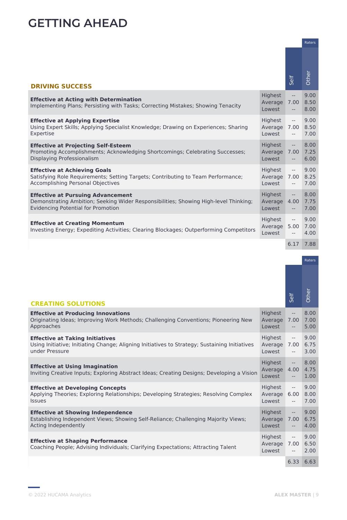# **GETTING AHEAD**

|                                                                                                                                                                               |                                          |                                                      | Raters               |
|-------------------------------------------------------------------------------------------------------------------------------------------------------------------------------|------------------------------------------|------------------------------------------------------|----------------------|
| <b>DRIVING SUCCESS</b>                                                                                                                                                        |                                          | Self                                                 | Other                |
| <b>Effective at Acting with Determination</b><br>Implementing Plans; Persisting with Tasks; Correcting Mistakes; Showing Tenacity                                             | <b>Highest</b><br>Average 7.00<br>Lowest | $\overline{\phantom{a}}$<br>$\overline{\phantom{a}}$ | 9.00<br>8.50<br>8.00 |
| <b>Effective at Applying Expertise</b><br>Using Expert Skills; Applying Specialist Knowledge; Drawing on Experiences; Sharing<br>Expertise                                    | Highest<br>Average 7.00<br>Lowest        | $\sim$<br>$--$                                       | 9.00<br>8.50<br>7.00 |
| <b>Effective at Projecting Self-Esteem</b><br>Promoting Accomplishments; Acknowledging Shortcomings; Celebrating Successes;<br>Displaying Professionalism                     | Highest<br>Average 7.00<br>Lowest        | $\overline{\phantom{a}}$<br>$\overline{\phantom{a}}$ | 8.00<br>7.25<br>6.00 |
| <b>Effective at Achieving Goals</b><br>Satisfying Role Requirements; Setting Targets; Contributing to Team Performance;<br>Accomplishing Personal Objectives                  | Highest<br>Average 7.00<br>Lowest        | $\overline{\phantom{a}}$<br>$- -$                    | 9.00<br>8.25<br>7.00 |
| <b>Effective at Pursuing Advancement</b><br>Demonstrating Ambition; Seeking Wider Responsibilities; Showing High-level Thinking;<br><b>Evidencing Potential for Promotion</b> | <b>Highest</b><br>Average<br>Lowest      | $\overline{\phantom{a}}$<br>4.00<br>$--$             | 8.00<br>7.75<br>7.00 |
| <b>Effective at Creating Momentum</b><br>Investing Energy; Expediting Activities; Clearing Blockages; Outperforming Competitors                                               | Highest<br>Average<br>Lowest             | $\overline{\phantom{a}}$<br>5.00<br>$--$             | 9.00<br>7.00<br>4.00 |
|                                                                                                                                                                               |                                          | 6.17                                                 | 7.88                 |

|                                                                                                                                                           |                                        |                                                                                                            | Raters               |
|-----------------------------------------------------------------------------------------------------------------------------------------------------------|----------------------------------------|------------------------------------------------------------------------------------------------------------|----------------------|
| <b>CREATING SOLUTIONS</b>                                                                                                                                 |                                        | Self                                                                                                       | Other                |
| <b>Effective at Producing Innovations</b><br>Originating Ideas; Improving Work Methods; Challenging Conventions; Pioneering New<br>Approaches             | Highest<br>Average 7.00<br>Lowest      | $-\, -$<br>$\overline{\phantom{m}}$                                                                        | 8.00<br>7.00<br>5.00 |
| <b>Effective at Taking Initiatives</b><br>Using Initiative; Initiating Change; Aligning Initiatives to Strategy; Sustaining Initiatives<br>under Pressure | Highest<br>Average 7.00<br>Lowest      | $\hspace{0.05cm} -\hspace{0.05cm} -\hspace{0.05cm}$<br>$\hspace{0.05cm} -\hspace{0.05cm} -\hspace{0.05cm}$ | 9.00<br>6.75<br>3.00 |
| <b>Effective at Using Imagination</b><br>Inviting Creative Inputs; Exploring Abstract Ideas; Creating Designs; Developing a Vision                        | Highest<br>Average 4.00 4.75<br>Lowest | $\overline{\phantom{a}}$<br>$\hspace{0.05cm} -\hspace{0.05cm} -\hspace{0.05cm}$                            | 8.00<br>1.00         |
| <b>Effective at Developing Concepts</b><br>Applying Theories; Exploring Relationships; Developing Strategies; Resolving Complex<br><b>Issues</b>          | Highest<br>Average 6.00<br>Lowest      | $\overline{\phantom{m}}$<br>$\hspace{0.05cm} -\hspace{0.05cm} -\hspace{0.05cm}$                            | 9.00<br>8.00<br>7.00 |
| <b>Effective at Showing Independence</b><br>Establishing Independent Views; Showing Self-Reliance; Challenging Majority Views;<br>Acting Independently    | Highest<br>Average 7.00<br>Lowest      | $\mathbb{L} \mathbb{L}$<br>$\hspace{0.05cm} \ldots$                                                        | 9.00<br>6.75<br>4.00 |
| <b>Effective at Shaping Performance</b><br>Coaching People; Advising Individuals; Clarifying Expectations; Attracting Talent                              | Highest<br>Average 7.00<br>Lowest      | $--$<br>$\hspace{0.05cm} -\hspace{0.05cm} -\hspace{0.05cm}$                                                | 9.00<br>6.50<br>2.00 |
|                                                                                                                                                           |                                        | 6.33                                                                                                       | 6.63                 |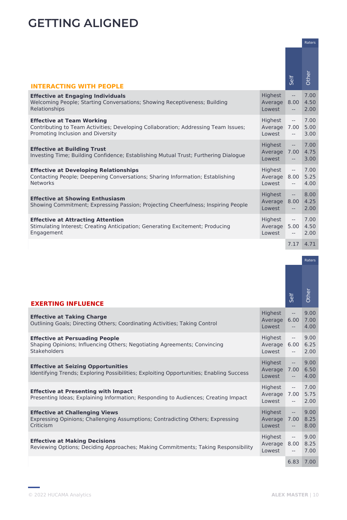# **GETTING ALIGNED**

|                                                                                                                                                             |                                   |                                                                   | Raters               |
|-------------------------------------------------------------------------------------------------------------------------------------------------------------|-----------------------------------|-------------------------------------------------------------------|----------------------|
| <b>INTERACTING WITH PEOPLE</b>                                                                                                                              |                                   | Self                                                              | Other                |
| <b>Effective at Engaging Individuals</b><br>Welcoming People; Starting Conversations; Showing Receptiveness; Building<br>Relationships                      | Highest<br>Average 8.00<br>Lowest | $\hspace{0.05cm} -\hspace{0.05cm} -\hspace{0.05cm}$<br>$\sim$ $-$ | 7.00<br>4.50<br>2.00 |
| <b>Effective at Team Working</b><br>Contributing to Team Activities; Developing Collaboration; Addressing Team Issues;<br>Promoting Inclusion and Diversity | Highest<br>Average 7.00<br>Lowest | $\overline{\phantom{a}}$<br>$\overline{\phantom{a}}$              | 7.00<br>5.00<br>3.00 |
| <b>Effective at Building Trust</b><br>Investing Time; Building Confidence; Establishing Mutual Trust; Furthering Dialogue                                   | Highest<br>Average 7.00<br>Lowest | $\mathbb{L}^{\mathbb{L}}$<br>$- -$ .                              | 7.00<br>4.75<br>3.00 |
| <b>Effective at Developing Relationships</b><br>Contacting People; Deepening Conversations; Sharing Information; Establishing<br><b>Networks</b>            | Highest<br>Average 8.00<br>Lowest | $\sim$ $-$<br>$\sim$ $-$                                          | 7.00<br>5.25<br>4.00 |
| <b>Effective at Showing Enthusiasm</b><br>Showing Commitment; Expressing Passion; Projecting Cheerfulness; Inspiring People                                 | Highest<br>Average 8.00<br>Lowest | $\overline{\phantom{m}}$<br>$- -$                                 | 8.00<br>4.25<br>2.00 |
| <b>Effective at Attracting Attention</b><br>Stimulating Interest; Creating Anticipation; Generating Excitement; Producing<br>Engagement                     | Highest<br>Average 5.00<br>Lowest | $- -$<br>$- -$                                                    | 7.00<br>4.50<br>2.00 |
|                                                                                                                                                             |                                   | 7.17                                                              | 4.71                 |

|                                                                                                                                      |                                          |                                                                                                            | Raters               |
|--------------------------------------------------------------------------------------------------------------------------------------|------------------------------------------|------------------------------------------------------------------------------------------------------------|----------------------|
| <b>EXERTING INFLUENCE</b>                                                                                                            |                                          | Self                                                                                                       | Other                |
| <b>Effective at Taking Charge</b><br>Outlining Goals; Directing Others; Coordinating Activities; Taking Control                      | Highest<br>Average 6.00<br>Lowest        | $\hspace{0.05cm} -\hspace{0.05cm} -\hspace{0.05cm}$<br>$\overline{\phantom{m}}$                            | 9.00<br>7.00<br>4.00 |
| <b>Effective at Persuading People</b><br>Shaping Opinions; Influencing Others; Negotiating Agreements; Convincing<br>Stakeholders    | Highest<br>Average 6.00<br>Lowest        | $\mathord{\hspace{1pt}\text{--}\hspace{1pt}}$<br>$\hspace{0.05cm} -\hspace{0.05cm} -\hspace{0.05cm}$       | 9.00<br>6.25<br>2.00 |
| <b>Effective at Seizing Opportunities</b><br>Identifying Trends; Exploring Possibilities; Exploiting Opportunities; Enabling Success | Highest<br>Average 7.00<br>Lowest        | $\mathbb{L} \mathbb{L}$<br>$\hspace{0.05cm} -\hspace{0.05cm} -\hspace{0.05cm}$                             | 9.00<br>6.50<br>4.00 |
| <b>Effective at Presenting with Impact</b><br>Presenting Ideas; Explaining Information; Responding to Audiences; Creating Impact     | Highest<br>Average 7.00<br>Lowest        | $\overline{\phantom{m}}$<br>$\overline{\phantom{a}}$                                                       | 7.00<br>5.75<br>2.00 |
| <b>Effective at Challenging Views</b><br>Expressing Opinions; Challenging Assumptions; Contradicting Others; Expressing<br>Criticism | <b>Highest</b><br>Average 7.00<br>Lowest | $\overline{\phantom{m}}$<br>$\overline{\phantom{m}}$                                                       | 9.00<br>8.25<br>8.00 |
| <b>Effective at Making Decisions</b><br>Reviewing Options; Deciding Approaches; Making Commitments; Taking Responsibility            | Highest<br>Average 8.00<br>Lowest        | $\hspace{0.05cm} -\hspace{0.05cm} -\hspace{0.05cm}$<br>$\hspace{0.05cm} -\hspace{0.05cm} -\hspace{0.05cm}$ | 9.00<br>8.25<br>7.00 |
|                                                                                                                                      |                                          | 6.83                                                                                                       | 7.00                 |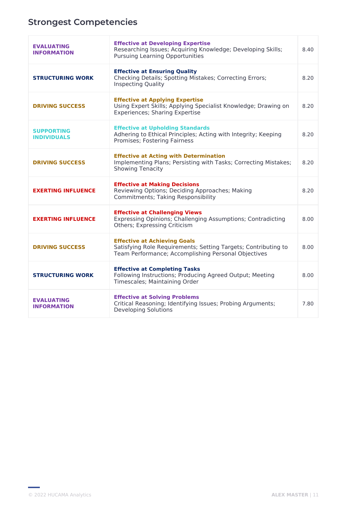# **Strongest Competencies**

| <b>EVALUATING</b><br><b>INFORMATION</b> | <b>Effective at Developing Expertise</b><br>Researching Issues; Acquiring Knowledge; Developing Skills;<br><b>Pursuing Learning Opportunities</b>            | 8.40 |
|-----------------------------------------|--------------------------------------------------------------------------------------------------------------------------------------------------------------|------|
| <b>STRUCTURING WORK</b>                 | <b>Effective at Ensuring Quality</b><br>Checking Details; Spotting Mistakes; Correcting Errors;<br><b>Inspecting Quality</b>                                 | 8.20 |
| <b>DRIVING SUCCESS</b>                  | <b>Effective at Applying Expertise</b><br>Using Expert Skills; Applying Specialist Knowledge; Drawing on<br><b>Experiences; Sharing Expertise</b>            | 8.20 |
| <b>SUPPORTING</b><br><b>INDIVIDUALS</b> | <b>Effective at Upholding Standards</b><br>Adhering to Ethical Principles; Acting with Integrity; Keeping<br>Promises; Fostering Fairness                    | 8.20 |
| <b>DRIVING SUCCESS</b>                  | <b>Effective at Acting with Determination</b><br>Implementing Plans; Persisting with Tasks; Correcting Mistakes;<br><b>Showing Tenacity</b>                  | 8.20 |
| <b>EXERTING INFLUENCE</b>               | <b>Effective at Making Decisions</b><br>Reviewing Options; Deciding Approaches; Making<br><b>Commitments; Taking Responsibility</b>                          | 8.20 |
| <b>EXERTING INFLUENCE</b>               | <b>Effective at Challenging Views</b><br>Expressing Opinions; Challenging Assumptions; Contradicting<br>Others; Expressing Criticism                         | 8.00 |
| <b>DRIVING SUCCESS</b>                  | <b>Effective at Achieving Goals</b><br>Satisfying Role Requirements; Setting Targets; Contributing to<br>Team Performance; Accomplishing Personal Objectives | 8.00 |
| <b>STRUCTURING WORK</b>                 | <b>Effective at Completing Tasks</b><br>Following Instructions; Producing Agreed Output; Meeting<br>Timescales; Maintaining Order                            | 8.00 |
| <b>EVALUATING</b><br><b>INFORMATION</b> | <b>Effective at Solving Problems</b><br>Critical Reasoning; Identifying Issues; Probing Arguments;<br><b>Developing Solutions</b>                            | 7.80 |